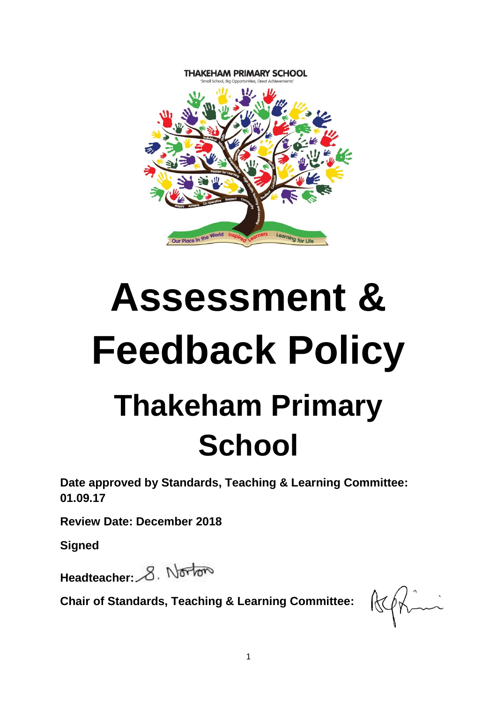

# **Assessment & Feedback Policy Thakeham Primary School**

**Date approved by Standards, Teaching & Learning Committee: 01.09.17**

**Review Date: December 2018**

**Signed**

Headteacher: 8. Norton

**Chair of Standards, Teaching & Learning Committee:**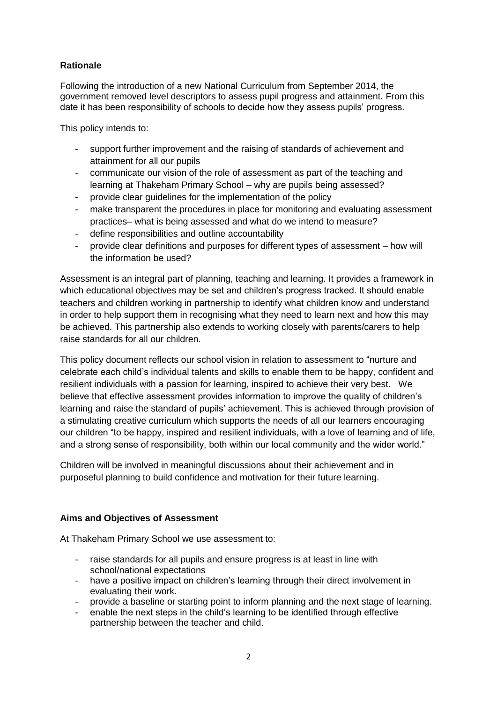# **Rationale**

Following the introduction of a new National Curriculum from September 2014, the government removed level descriptors to assess pupil progress and attainment. From this date it has been responsibility of schools to decide how they assess pupils' progress.

This policy intends to:

- support further improvement and the raising of standards of achievement and attainment for all our pupils
- communicate our vision of the role of assessment as part of the teaching and learning at Thakeham Primary School – why are pupils being assessed?
- provide clear guidelines for the implementation of the policy
- make transparent the procedures in place for monitoring and evaluating assessment practices– what is being assessed and what do we intend to measure?
- define responsibilities and outline accountability
- provide clear definitions and purposes for different types of assessment how will the information be used?

Assessment is an integral part of planning, teaching and learning. It provides a framework in which educational objectives may be set and children's progress tracked. It should enable teachers and children working in partnership to identify what children know and understand in order to help support them in recognising what they need to learn next and how this may be achieved. This partnership also extends to working closely with parents/carers to help raise standards for all our children.

This policy document reflects our school vision in relation to assessment to "nurture and celebrate each child's individual talents and skills to enable them to be happy, confident and resilient individuals with a passion for learning, inspired to achieve their very best. We believe that effective assessment provides information to improve the quality of children's learning and raise the standard of pupils' achievement. This is achieved through provision of a stimulating creative curriculum which supports the needs of all our learners encouraging our children "to be happy, inspired and resilient individuals, with a love of learning and of life, and a strong sense of responsibility, both within our local community and the wider world."

Children will be involved in meaningful discussions about their achievement and in purposeful planning to build confidence and motivation for their future learning.

# **Aims and Objectives of Assessment**

At Thakeham Primary School we use assessment to:

- raise standards for all pupils and ensure progress is at least in line with school/national expectations
- have a positive impact on children's learning through their direct involvement in evaluating their work.
- provide a baseline or starting point to inform planning and the next stage of learning.
- enable the next steps in the child's learning to be identified through effective partnership between the teacher and child.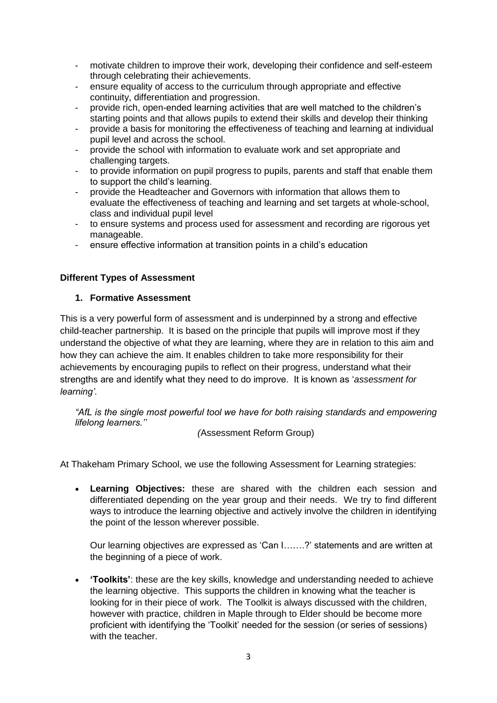- motivate children to improve their work, developing their confidence and self-esteem through celebrating their achievements.
- ensure equality of access to the curriculum through appropriate and effective continuity, differentiation and progression.
- provide rich, open-ended learning activities that are well matched to the children's starting points and that allows pupils to extend their skills and develop their thinking
- provide a basis for monitoring the effectiveness of teaching and learning at individual pupil level and across the school.
- provide the school with information to evaluate work and set appropriate and challenging targets.
- to provide information on pupil progress to pupils, parents and staff that enable them to support the child's learning.
- provide the Headteacher and Governors with information that allows them to evaluate the effectiveness of teaching and learning and set targets at whole-school, class and individual pupil level
- to ensure systems and process used for assessment and recording are rigorous yet manageable.
- ensure effective information at transition points in a child's education

# **Different Types of Assessment**

# **1. Formative Assessment**

This is a very powerful form of assessment and is underpinned by a strong and effective child-teacher partnership. It is based on the principle that pupils will improve most if they understand the objective of what they are learning, where they are in relation to this aim and how they can achieve the aim. It enables children to take more responsibility for their achievements by encouraging pupils to reflect on their progress, understand what their strengths are and identify what they need to do improve. It is known as '*assessment for learning'.*

*"AfL is the single most powerful tool we have for both raising standards and empowering lifelong learners.''* 

*(*Assessment Reform Group)

At Thakeham Primary School, we use the following Assessment for Learning strategies:

 **Learning Objectives:** these are shared with the children each session and differentiated depending on the year group and their needs. We try to find different ways to introduce the learning objective and actively involve the children in identifying the point of the lesson wherever possible.

Our learning objectives are expressed as 'Can I…….?' statements and are written at the beginning of a piece of work.

 **'Toolkits'**: these are the key skills, knowledge and understanding needed to achieve the learning objective. This supports the children in knowing what the teacher is looking for in their piece of work. The Toolkit is always discussed with the children, however with practice, children in Maple through to Elder should be become more proficient with identifying the 'Toolkit' needed for the session (or series of sessions) with the teacher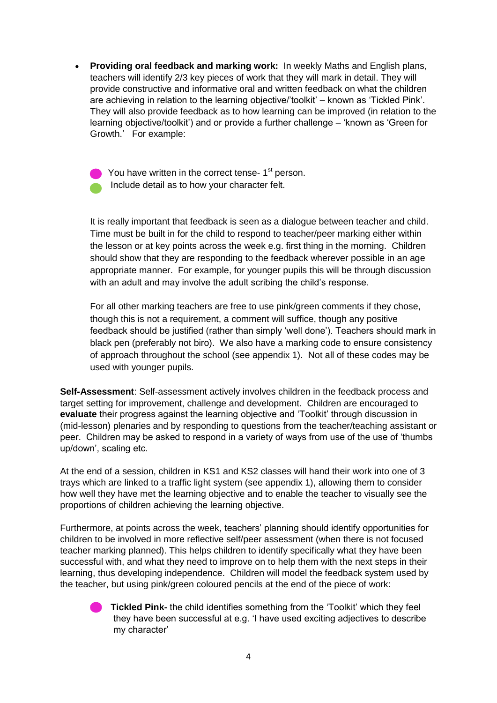**Providing oral feedback and marking work:** In weekly Maths and English plans, teachers will identify 2/3 key pieces of work that they will mark in detail. They will provide constructive and informative oral and written feedback on what the children are achieving in relation to the learning objective/'toolkit' – known as 'Tickled Pink'. They will also provide feedback as to how learning can be improved (in relation to the learning objective/toolkit') and or provide a further challenge – 'known as 'Green for Growth.' For example:

 $\bullet$  You have written in the correct tense- 1<sup>st</sup> person. Include detail as to how your character felt.

It is really important that feedback is seen as a dialogue between teacher and child. Time must be built in for the child to respond to teacher/peer marking either within the lesson or at key points across the week e.g. first thing in the morning. Children should show that they are responding to the feedback wherever possible in an age appropriate manner. For example, for younger pupils this will be through discussion with an adult and may involve the adult scribing the child's response.

For all other marking teachers are free to use pink/green comments if they chose, though this is not a requirement, a comment will suffice, though any positive feedback should be justified (rather than simply 'well done'). Teachers should mark in black pen (preferably not biro). We also have a marking code to ensure consistency of approach throughout the school (see appendix 1). Not all of these codes may be used with younger pupils.

**Self-Assessment**: Self-assessment actively involves children in the feedback process and target setting for improvement, challenge and development. Children are encouraged to **evaluate** their progress against the learning objective and 'Toolkit' through discussion in (mid-lesson) plenaries and by responding to questions from the teacher/teaching assistant or peer. Children may be asked to respond in a variety of ways from use of the use of 'thumbs up/down', scaling etc.

At the end of a session, children in KS1 and KS2 classes will hand their work into one of 3 trays which are linked to a traffic light system (see appendix 1), allowing them to consider how well they have met the learning objective and to enable the teacher to visually see the proportions of children achieving the learning objective.

Furthermore, at points across the week, teachers' planning should identify opportunities for children to be involved in more reflective self/peer assessment (when there is not focused teacher marking planned). This helps children to identify specifically what they have been successful with, and what they need to improve on to help them with the next steps in their learning, thus developing independence. Children will model the feedback system used by the teacher, but using pink/green coloured pencils at the end of the piece of work:

> **Tickled Pink-** the child identifies something from the 'Toolkit' which they feel they have been successful at e.g. 'I have used exciting adjectives to describe my character'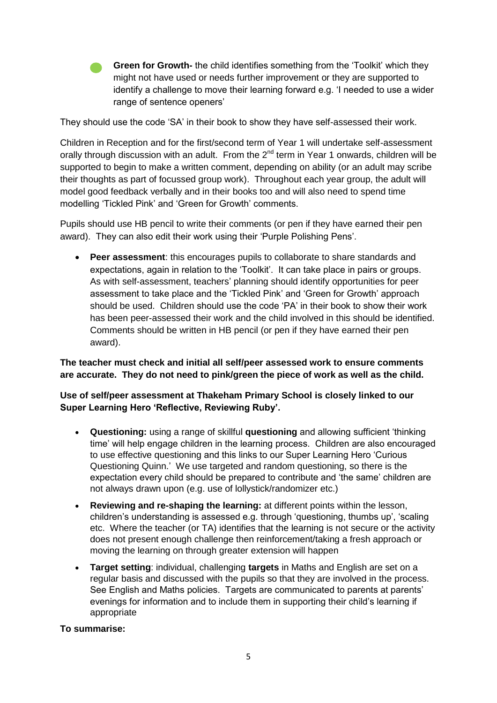**Green for Growth-** the child identifies something from the 'Toolkit' which they might not have used or needs further improvement or they are supported to identify a challenge to move their learning forward e.g. 'I needed to use a wider range of sentence openers'

They should use the code 'SA' in their book to show they have self-assessed their work.

Children in Reception and for the first/second term of Year 1 will undertake self-assessment orally through discussion with an adult. From the  $2<sup>nd</sup>$  term in Year 1 onwards, children will be supported to begin to make a written comment, depending on ability (or an adult may scribe their thoughts as part of focussed group work). Throughout each year group, the adult will model good feedback verbally and in their books too and will also need to spend time modelling 'Tickled Pink' and 'Green for Growth' comments.

Pupils should use HB pencil to write their comments (or pen if they have earned their pen award). They can also edit their work using their 'Purple Polishing Pens'.

 **Peer assessment**: this encourages pupils to collaborate to share standards and expectations, again in relation to the 'Toolkit'. It can take place in pairs or groups. As with self-assessment, teachers' planning should identify opportunities for peer assessment to take place and the 'Tickled Pink' and 'Green for Growth' approach should be used. Children should use the code 'PA' in their book to show their work has been peer-assessed their work and the child involved in this should be identified. Comments should be written in HB pencil (or pen if they have earned their pen award).

**The teacher must check and initial all self/peer assessed work to ensure comments are accurate. They do not need to pink/green the piece of work as well as the child.**

# **Use of self/peer assessment at Thakeham Primary School is closely linked to our Super Learning Hero 'Reflective, Reviewing Ruby'.**

- **Questioning:** using a range of skillful **questioning** and allowing sufficient 'thinking time' will help engage children in the learning process. Children are also encouraged to use effective questioning and this links to our Super Learning Hero 'Curious Questioning Quinn.' We use targeted and random questioning, so there is the expectation every child should be prepared to contribute and 'the same' children are not always drawn upon (e.g. use of lollystick/randomizer etc.)
- **Reviewing and re-shaping the learning:** at different points within the lesson, children's understanding is assessed e.g. through 'questioning, thumbs up', 'scaling etc. Where the teacher (or TA) identifies that the learning is not secure or the activity does not present enough challenge then reinforcement/taking a fresh approach or moving the learning on through greater extension will happen
- **Target setting**: individual, challenging **targets** in Maths and English are set on a regular basis and discussed with the pupils so that they are involved in the process. See English and Maths policies. Targets are communicated to parents at parents' evenings for information and to include them in supporting their child's learning if appropriate

# **To summarise:**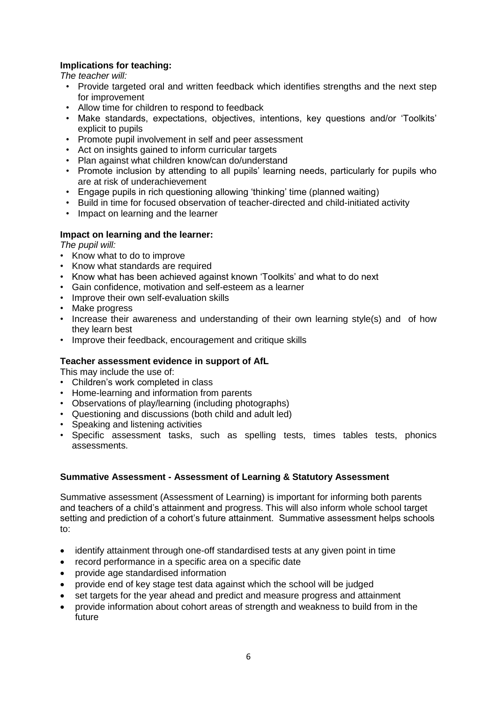# **Implications for teaching:**

*The teacher will:*

- Provide targeted oral and written feedback which identifies strengths and the next step for improvement
- Allow time for children to respond to feedback
- Make standards, expectations, objectives, intentions, key questions and/or 'Toolkits' explicit to pupils
- Promote pupil involvement in self and peer assessment
- Act on insights gained to inform curricular targets
- Plan against what children know/can do/understand
- Promote inclusion by attending to all pupils' learning needs, particularly for pupils who are at risk of underachievement
- Engage pupils in rich questioning allowing 'thinking' time (planned waiting)
- Build in time for focused observation of teacher-directed and child-initiated activity
- Impact on learning and the learner

#### **Impact on learning and the learner:**

*The pupil will:*

- Know what to do to improve
- Know what standards are required
- Know what has been achieved against known 'Toolkits' and what to do next
- Gain confidence, motivation and self-esteem as a learner
- Improve their own self-evaluation skills
- Make progress
- Increase their awareness and understanding of their own learning style(s) and of how they learn best
- Improve their feedback, encouragement and critique skills

#### **Teacher assessment evidence in support of AfL**

This may include the use of:

- Children's work completed in class
- Home-learning and information from parents
- Observations of play/learning (including photographs)
- Questioning and discussions (both child and adult led)
- Speaking and listening activities
- Specific assessment tasks, such as spelling tests, times tables tests, phonics assessments.

#### **Summative Assessment - Assessment of Learning & Statutory Assessment**

Summative assessment (Assessment of Learning) is important for informing both parents and teachers of a child's attainment and progress. This will also inform whole school target setting and prediction of a cohort's future attainment. Summative assessment helps schools to:

- identify attainment through one-off standardised tests at any given point in time
- record performance in a specific area on a specific date
- provide age standardised information
- provide end of key stage test data against which the school will be judged
- set targets for the year ahead and predict and measure progress and attainment
- provide information about cohort areas of strength and weakness to build from in the future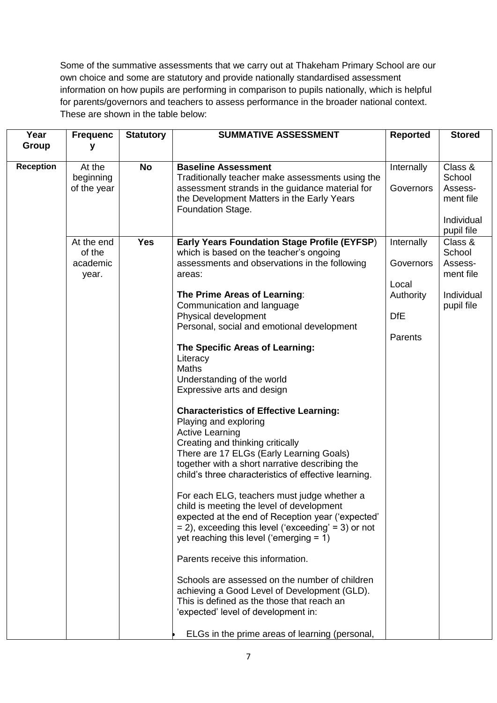Some of the summative assessments that we carry out at Thakeham Primary School are our own choice and some are statutory and provide nationally standardised assessment information on how pupils are performing in comparison to pupils nationally, which is helpful for parents/governors and teachers to assess performance in the broader national context. These are shown in the table below:

| Year             | <b>Frequenc</b>                                                                 | <b>Statutory</b>        | <b>SUMMATIVE ASSESSMENT</b>                                                                                                                                                                                                                                                                                                                                                                                                                                                                                                                                                                                                                                                                                                                                                                                                                                                                                                                                                                                                                                      | <b>Reported</b>                                                          | <b>Stored</b>                                                                                                                    |
|------------------|---------------------------------------------------------------------------------|-------------------------|------------------------------------------------------------------------------------------------------------------------------------------------------------------------------------------------------------------------------------------------------------------------------------------------------------------------------------------------------------------------------------------------------------------------------------------------------------------------------------------------------------------------------------------------------------------------------------------------------------------------------------------------------------------------------------------------------------------------------------------------------------------------------------------------------------------------------------------------------------------------------------------------------------------------------------------------------------------------------------------------------------------------------------------------------------------|--------------------------------------------------------------------------|----------------------------------------------------------------------------------------------------------------------------------|
| Group            | у                                                                               |                         |                                                                                                                                                                                                                                                                                                                                                                                                                                                                                                                                                                                                                                                                                                                                                                                                                                                                                                                                                                                                                                                                  |                                                                          |                                                                                                                                  |
| <b>Reception</b> | At the<br>beginning<br>of the year<br>At the end<br>of the<br>academic<br>year. | <b>No</b><br><b>Yes</b> | <b>Baseline Assessment</b><br>Traditionally teacher make assessments using the<br>assessment strands in the guidance material for<br>the Development Matters in the Early Years<br>Foundation Stage.<br>Early Years Foundation Stage Profile (EYFSP)<br>which is based on the teacher's ongoing<br>assessments and observations in the following<br>areas:<br>The Prime Areas of Learning:                                                                                                                                                                                                                                                                                                                                                                                                                                                                                                                                                                                                                                                                       | Internally<br>Governors<br>Internally<br>Governors<br>Local<br>Authority | Class &<br>School<br>Assess-<br>ment file<br>Individual<br>pupil file<br>Class &<br>School<br>Assess-<br>ment file<br>Individual |
|                  |                                                                                 |                         | Communication and language<br>Physical development<br>Personal, social and emotional development<br>The Specific Areas of Learning:<br>Literacy<br><b>Maths</b><br>Understanding of the world<br>Expressive arts and design<br><b>Characteristics of Effective Learning:</b><br>Playing and exploring<br><b>Active Learning</b><br>Creating and thinking critically<br>There are 17 ELGs (Early Learning Goals)<br>together with a short narrative describing the<br>child's three characteristics of effective learning.<br>For each ELG, teachers must judge whether a<br>child is meeting the level of development<br>expected at the end of Reception year ('expected'<br>$= 2$ ), exceeding this level ('exceeding' = 3) or not<br>yet reaching this level ('emerging $= 1$ )<br>Parents receive this information.<br>Schools are assessed on the number of children<br>achieving a Good Level of Development (GLD).<br>This is defined as the those that reach an<br>'expected' level of development in:<br>ELGs in the prime areas of learning (personal, | <b>DfE</b><br>Parents                                                    | pupil file                                                                                                                       |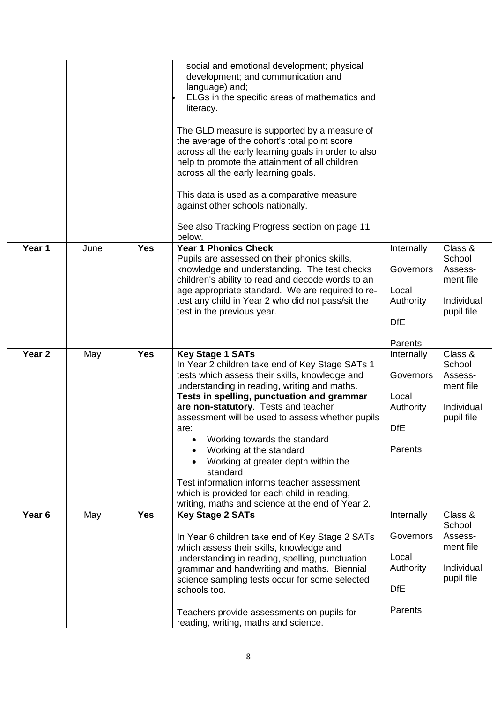|                   |      |            | social and emotional development; physical<br>development; and communication and<br>language) and;<br>ELGs in the specific areas of mathematics and<br>literacy.<br>The GLD measure is supported by a measure of<br>the average of the cohort's total point score<br>across all the early learning goals in order to also<br>help to promote the attainment of all children<br>across all the early learning goals.<br>This data is used as a comparative measure<br>against other schools nationally.<br>See also Tracking Progress section on page 11<br>below.                               |                                                                        |                                                                       |
|-------------------|------|------------|-------------------------------------------------------------------------------------------------------------------------------------------------------------------------------------------------------------------------------------------------------------------------------------------------------------------------------------------------------------------------------------------------------------------------------------------------------------------------------------------------------------------------------------------------------------------------------------------------|------------------------------------------------------------------------|-----------------------------------------------------------------------|
| Year 1            | June | <b>Yes</b> | <b>Year 1 Phonics Check</b><br>Pupils are assessed on their phonics skills,<br>knowledge and understanding. The test checks<br>children's ability to read and decode words to an<br>age appropriate standard. We are required to re-<br>test any child in Year 2 who did not pass/sit the<br>test in the previous year.                                                                                                                                                                                                                                                                         | Internally<br>Governors<br>Local<br>Authority<br><b>DfE</b><br>Parents | Class &<br>School<br>Assess-<br>ment file<br>Individual<br>pupil file |
| Year <sub>2</sub> | May  | <b>Yes</b> | <b>Key Stage 1 SATs</b><br>In Year 2 children take end of Key Stage SATs 1<br>tests which assess their skills, knowledge and<br>understanding in reading, writing and maths.<br>Tests in spelling, punctuation and grammar<br>are non-statutory. Tests and teacher<br>assessment will be used to assess whether pupils<br>are:<br>Working towards the standard<br>Working at the standard<br>Working at greater depth within the<br>standard<br>Test information informs teacher assessment<br>which is provided for each child in reading,<br>writing, maths and science at the end of Year 2. | Internally<br>Governors<br>Local<br>Authority<br><b>DfE</b><br>Parents | Class &<br>School<br>Assess-<br>ment file<br>Individual<br>pupil file |
| Year <sub>6</sub> | May  | <b>Yes</b> | <b>Key Stage 2 SATs</b><br>In Year 6 children take end of Key Stage 2 SATs<br>which assess their skills, knowledge and<br>understanding in reading, spelling, punctuation<br>grammar and handwriting and maths. Biennial<br>science sampling tests occur for some selected<br>schools too.<br>Teachers provide assessments on pupils for<br>reading, writing, maths and science.                                                                                                                                                                                                                | Internally<br>Governors<br>Local<br>Authority<br><b>DfE</b><br>Parents | Class &<br>School<br>Assess-<br>ment file<br>Individual<br>pupil file |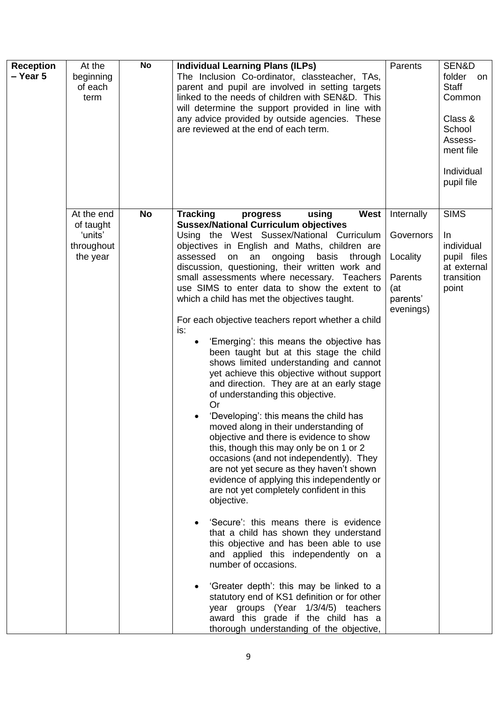| <b>Reception</b> | At the                                         | <b>No</b> | <b>Individual Learning Plans (ILPs)</b>                                                                                                                                                                                                                                                                                                                                                                                                                                                                                                                                                                                                                                                                                                                                                                                                                                                                                                                                                                                                                                                                                                                                                                                                                                                                                                                                                                                                                                                                                            | Parents                                                           | SEN&D                                                                                                           |
|------------------|------------------------------------------------|-----------|------------------------------------------------------------------------------------------------------------------------------------------------------------------------------------------------------------------------------------------------------------------------------------------------------------------------------------------------------------------------------------------------------------------------------------------------------------------------------------------------------------------------------------------------------------------------------------------------------------------------------------------------------------------------------------------------------------------------------------------------------------------------------------------------------------------------------------------------------------------------------------------------------------------------------------------------------------------------------------------------------------------------------------------------------------------------------------------------------------------------------------------------------------------------------------------------------------------------------------------------------------------------------------------------------------------------------------------------------------------------------------------------------------------------------------------------------------------------------------------------------------------------------------|-------------------------------------------------------------------|-----------------------------------------------------------------------------------------------------------------|
| - Year 5         | beginning<br>of each<br>term                   |           | The Inclusion Co-ordinator, classteacher, TAs,<br>parent and pupil are involved in setting targets<br>linked to the needs of children with SEN&D. This<br>will determine the support provided in line with<br>any advice provided by outside agencies. These<br>are reviewed at the end of each term.                                                                                                                                                                                                                                                                                                                                                                                                                                                                                                                                                                                                                                                                                                                                                                                                                                                                                                                                                                                                                                                                                                                                                                                                                              |                                                                   | folder<br>on<br><b>Staff</b><br>Common<br>Class &<br>School<br>Assess-<br>ment file<br>Individual<br>pupil file |
|                  | At the end                                     | <b>No</b> | <b>West</b><br><b>Tracking</b><br>using<br>progress                                                                                                                                                                                                                                                                                                                                                                                                                                                                                                                                                                                                                                                                                                                                                                                                                                                                                                                                                                                                                                                                                                                                                                                                                                                                                                                                                                                                                                                                                | Internally                                                        | <b>SIMS</b>                                                                                                     |
|                  | of taught<br>'units'<br>throughout<br>the year |           | <b>Sussex/National Curriculum objectives</b><br>Using the West Sussex/National Curriculum<br>objectives in English and Maths, children are<br>assessed<br>ongoing<br>on<br>an<br>basis<br>through<br>discussion, questioning, their written work and<br>small assessments where necessary. Teachers<br>use SIMS to enter data to show the extent to<br>which a child has met the objectives taught.<br>For each objective teachers report whether a child<br>is:<br>'Emerging': this means the objective has<br>been taught but at this stage the child<br>shows limited understanding and cannot<br>yet achieve this objective without support<br>and direction. They are at an early stage<br>of understanding this objective.<br>Or<br>'Developing': this means the child has<br>moved along in their understanding of<br>objective and there is evidence to show<br>this, though this may only be on 1 or 2<br>occasions (and not independently). They<br>are not yet secure as they haven't shown<br>evidence of applying this independently or<br>are not yet completely confident in this<br>objective.<br>'Secure': this means there is evidence<br>that a child has shown they understand<br>this objective and has been able to use<br>and applied this independently on a<br>number of occasions.<br>'Greater depth': this may be linked to a<br>statutory end of KS1 definition or for other<br>year groups (Year 1/3/4/5) teachers<br>award this grade if the child has a<br>thorough understanding of the objective, | Governors<br>Locality<br>Parents<br>(at)<br>parents'<br>evenings) | In<br>individual<br>pupil files<br>at external<br>transition<br>point                                           |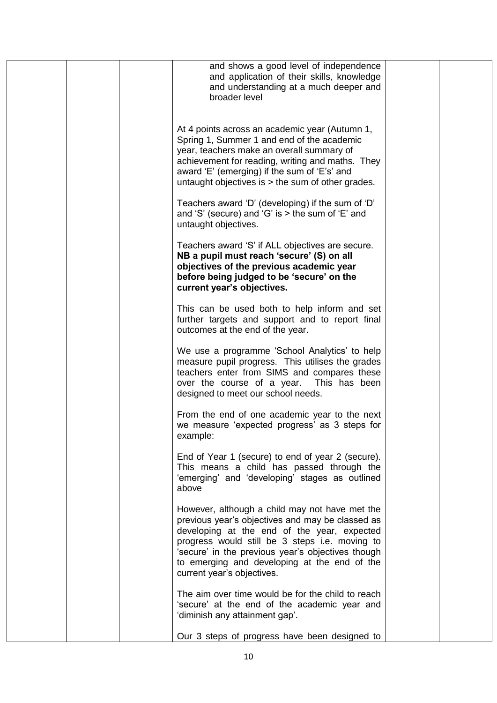| and shows a good level of independence<br>and application of their skills, knowledge<br>and understanding at a much deeper and<br>broader level                                                                                                                                                                                        |  |
|----------------------------------------------------------------------------------------------------------------------------------------------------------------------------------------------------------------------------------------------------------------------------------------------------------------------------------------|--|
| At 4 points across an academic year (Autumn 1,<br>Spring 1, Summer 1 and end of the academic<br>year, teachers make an overall summary of<br>achievement for reading, writing and maths. They<br>award 'E' (emerging) if the sum of 'E's' and<br>untaught objectives is $>$ the sum of other grades.                                   |  |
| Teachers award 'D' (developing) if the sum of 'D'<br>and 'S' (secure) and 'G' is $>$ the sum of 'E' and<br>untaught objectives.                                                                                                                                                                                                        |  |
| Teachers award 'S' if ALL objectives are secure.<br>NB a pupil must reach 'secure' (S) on all<br>objectives of the previous academic year<br>before being judged to be 'secure' on the<br>current year's objectives.                                                                                                                   |  |
| This can be used both to help inform and set<br>further targets and support and to report final<br>outcomes at the end of the year.                                                                                                                                                                                                    |  |
| We use a programme 'School Analytics' to help<br>measure pupil progress. This utilises the grades<br>teachers enter from SIMS and compares these<br>over the course of a year. This has been<br>designed to meet our school needs.                                                                                                     |  |
| From the end of one academic year to the next<br>we measure 'expected progress' as 3 steps for<br>example:                                                                                                                                                                                                                             |  |
| End of Year 1 (secure) to end of year 2 (secure).<br>This means a child has passed through the<br>'emerging' and 'developing' stages as outlined<br>above                                                                                                                                                                              |  |
| However, although a child may not have met the<br>previous year's objectives and may be classed as<br>developing at the end of the year, expected<br>progress would still be 3 steps i.e. moving to<br>'secure' in the previous year's objectives though<br>to emerging and developing at the end of the<br>current year's objectives. |  |
| The aim over time would be for the child to reach<br>'secure' at the end of the academic year and<br>'diminish any attainment gap'.                                                                                                                                                                                                    |  |
| Our 3 steps of progress have been designed to                                                                                                                                                                                                                                                                                          |  |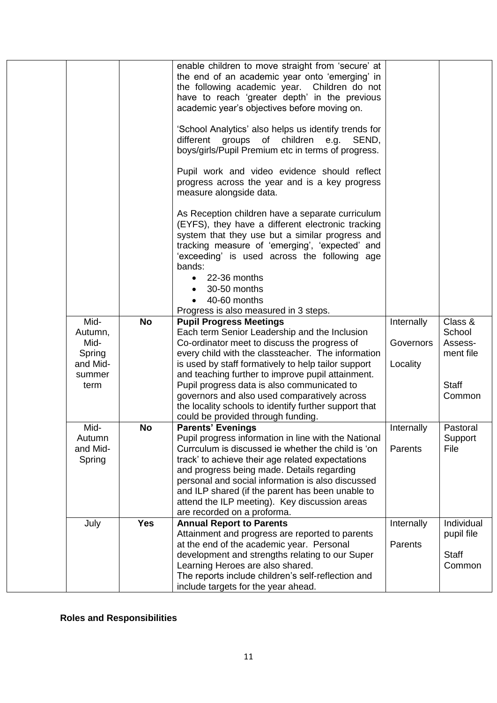|                    |            | enable children to move straight from 'secure' at<br>the end of an academic year onto 'emerging' in<br>the following academic year. Children do not<br>have to reach 'greater depth' in the previous<br>academic year's objectives before moving on.<br>'School Analytics' also helps us identify trends for<br>of children<br>different<br>groups<br>e.g. SEND,<br>boys/girls/Pupil Premium etc in terms of progress. |            |              |
|--------------------|------------|------------------------------------------------------------------------------------------------------------------------------------------------------------------------------------------------------------------------------------------------------------------------------------------------------------------------------------------------------------------------------------------------------------------------|------------|--------------|
|                    |            | Pupil work and video evidence should reflect<br>progress across the year and is a key progress<br>measure alongside data.                                                                                                                                                                                                                                                                                              |            |              |
|                    |            | As Reception children have a separate curriculum<br>(EYFS), they have a different electronic tracking<br>system that they use but a similar progress and<br>tracking measure of 'emerging', 'expected' and<br>'exceeding' is used across the following age<br>bands:                                                                                                                                                   |            |              |
|                    |            | 22-36 months                                                                                                                                                                                                                                                                                                                                                                                                           |            |              |
|                    |            | 30-50 months                                                                                                                                                                                                                                                                                                                                                                                                           |            |              |
|                    |            | 40-60 months<br>Progress is also measured in 3 steps.                                                                                                                                                                                                                                                                                                                                                                  |            |              |
| Mid-               | <b>No</b>  | <b>Pupil Progress Meetings</b>                                                                                                                                                                                                                                                                                                                                                                                         | Internally | Class &      |
| Autumn,            |            | Each term Senior Leadership and the Inclusion                                                                                                                                                                                                                                                                                                                                                                          |            | School       |
| Mid-               |            | Co-ordinator meet to discuss the progress of                                                                                                                                                                                                                                                                                                                                                                           | Governors  | Assess-      |
| Spring             |            | every child with the classteacher. The information                                                                                                                                                                                                                                                                                                                                                                     |            | ment file    |
| and Mid-           |            | is used by staff formatively to help tailor support                                                                                                                                                                                                                                                                                                                                                                    | Locality   |              |
| summer<br>term     |            | and teaching further to improve pupil attainment.<br>Pupil progress data is also communicated to                                                                                                                                                                                                                                                                                                                       |            | <b>Staff</b> |
|                    |            | governors and also used comparatively across                                                                                                                                                                                                                                                                                                                                                                           |            | Common       |
|                    |            | the locality schools to identify further support that                                                                                                                                                                                                                                                                                                                                                                  |            |              |
|                    |            | could be provided through funding.                                                                                                                                                                                                                                                                                                                                                                                     |            |              |
| Mid-               | <b>No</b>  | <b>Parents' Evenings</b>                                                                                                                                                                                                                                                                                                                                                                                               | Internally | Pastoral     |
| Autumn             |            | Pupil progress information in line with the National                                                                                                                                                                                                                                                                                                                                                                   |            | Support      |
| and Mid-<br>Spring |            | Currculum is discussed ie whether the child is 'on<br>track' to achieve their age related expectations                                                                                                                                                                                                                                                                                                                 | Parents    | File         |
|                    |            | and progress being made. Details regarding                                                                                                                                                                                                                                                                                                                                                                             |            |              |
|                    |            | personal and social information is also discussed                                                                                                                                                                                                                                                                                                                                                                      |            |              |
|                    |            | and ILP shared (if the parent has been unable to                                                                                                                                                                                                                                                                                                                                                                       |            |              |
|                    |            | attend the ILP meeting). Key discussion areas                                                                                                                                                                                                                                                                                                                                                                          |            |              |
|                    |            | are recorded on a proforma.                                                                                                                                                                                                                                                                                                                                                                                            |            |              |
| July               | <b>Yes</b> | <b>Annual Report to Parents</b>                                                                                                                                                                                                                                                                                                                                                                                        | Internally | Individual   |
|                    |            | Attainment and progress are reported to parents<br>at the end of the academic year. Personal                                                                                                                                                                                                                                                                                                                           | Parents    | pupil file   |
|                    |            | development and strengths relating to our Super                                                                                                                                                                                                                                                                                                                                                                        |            | <b>Staff</b> |
|                    |            | Learning Heroes are also shared.                                                                                                                                                                                                                                                                                                                                                                                       |            | Common       |
|                    |            | The reports include children's self-reflection and                                                                                                                                                                                                                                                                                                                                                                     |            |              |
|                    |            | include targets for the year ahead.                                                                                                                                                                                                                                                                                                                                                                                    |            |              |

**Roles and Responsibilities**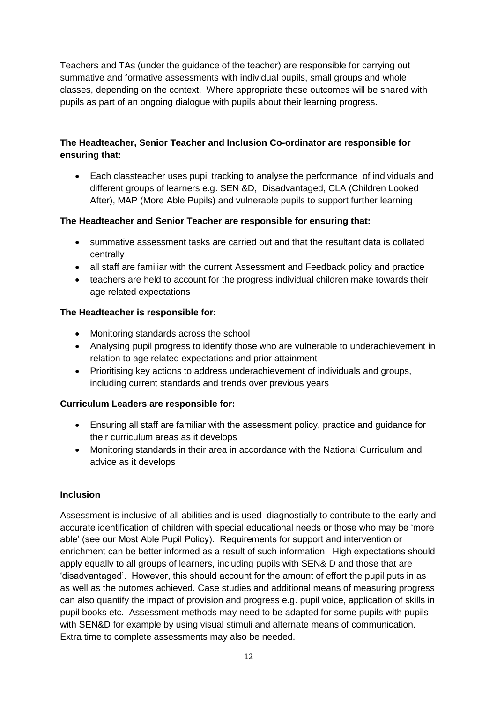Teachers and TAs (under the guidance of the teacher) are responsible for carrying out summative and formative assessments with individual pupils, small groups and whole classes, depending on the context. Where appropriate these outcomes will be shared with pupils as part of an ongoing dialogue with pupils about their learning progress.

# **The Headteacher, Senior Teacher and Inclusion Co-ordinator are responsible for ensuring that:**

 Each classteacher uses pupil tracking to analyse the performance of individuals and different groups of learners e.g. SEN &D, Disadvantaged, CLA (Children Looked After), MAP (More Able Pupils) and vulnerable pupils to support further learning

# **The Headteacher and Senior Teacher are responsible for ensuring that:**

- summative assessment tasks are carried out and that the resultant data is collated centrally
- all staff are familiar with the current Assessment and Feedback policy and practice
- teachers are held to account for the progress individual children make towards their age related expectations

# **The Headteacher is responsible for:**

- Monitoring standards across the school
- Analysing pupil progress to identify those who are vulnerable to underachievement in relation to age related expectations and prior attainment
- Prioritising key actions to address underachievement of individuals and groups, including current standards and trends over previous years

# **Curriculum Leaders are responsible for:**

- Ensuring all staff are familiar with the assessment policy, practice and guidance for their curriculum areas as it develops
- Monitoring standards in their area in accordance with the National Curriculum and advice as it develops

# **Inclusion**

Assessment is inclusive of all abilities and is used diagnostially to contribute to the early and accurate identification of children with special educational needs or those who may be 'more able' (see our Most Able Pupil Policy). Requirements for support and intervention or enrichment can be better informed as a result of such information. High expectations should apply equally to all groups of learners, including pupils with SEN& D and those that are 'disadvantaged'. However, this should account for the amount of effort the pupil puts in as as well as the outomes achieved. Case studies and additional means of measuring progress can also quantify the impact of provision and progress e.g. pupil voice, application of skills in pupil books etc. Assessment methods may need to be adapted for some pupils with pupils with SEN&D for example by using visual stimuli and alternate means of communication. Extra time to complete assessments may also be needed.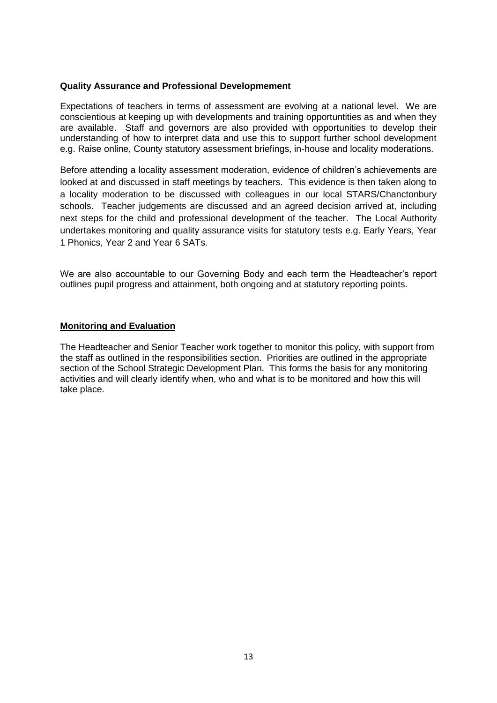#### **Quality Assurance and Professional Developmement**

Expectations of teachers in terms of assessment are evolving at a national level. We are conscientious at keeping up with developments and training opportuntities as and when they are available. Staff and governors are also provided with opportunities to develop their understanding of how to interpret data and use this to support further school development e.g. Raise online, County statutory assessment briefings, in-house and locality moderations.

Before attending a locality assessment moderation, evidence of children's achievements are looked at and discussed in staff meetings by teachers. This evidence is then taken along to a locality moderation to be discussed with colleagues in our local STARS/Chanctonbury schools. Teacher judgements are discussed and an agreed decision arrived at, including next steps for the child and professional development of the teacher. The Local Authority undertakes monitoring and quality assurance visits for statutory tests e.g. Early Years, Year 1 Phonics, Year 2 and Year 6 SATs.

We are also accountable to our Governing Body and each term the Headteacher's report outlines pupil progress and attainment, both ongoing and at statutory reporting points.

#### **Monitoring and Evaluation**

The Headteacher and Senior Teacher work together to monitor this policy, with support from the staff as outlined in the responsibilities section. Priorities are outlined in the appropriate section of the School Strategic Development Plan. This forms the basis for any monitoring activities and will clearly identify when, who and what is to be monitored and how this will take place.